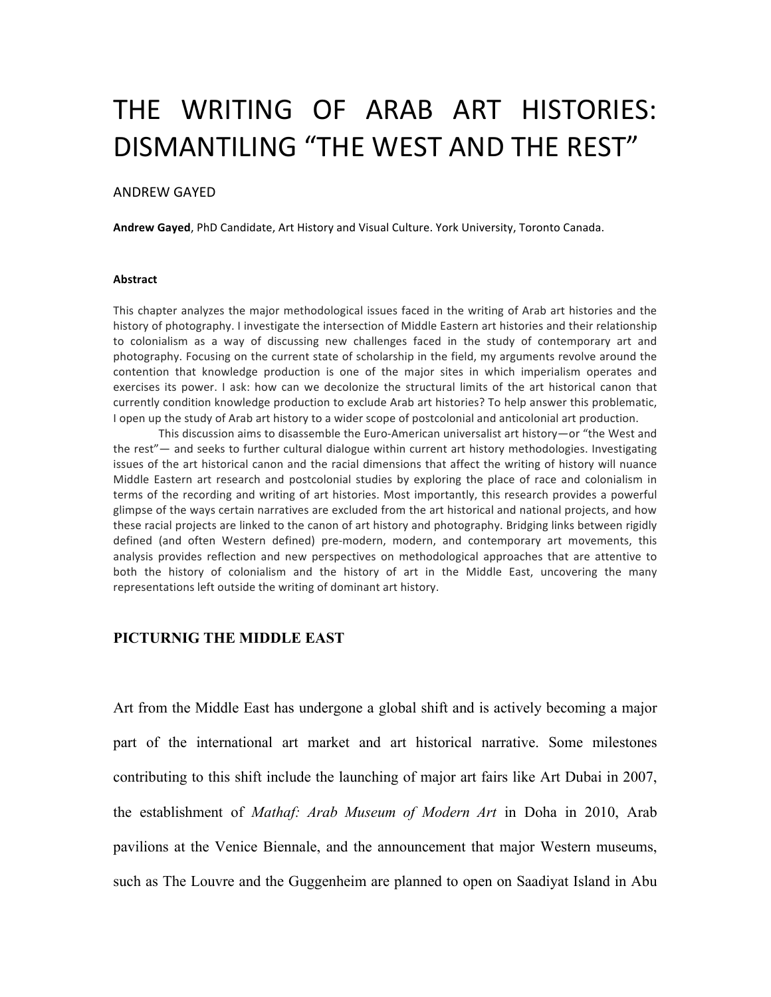# THE WRITING OF ARAB ART HISTORIES: DISMANTILING "THE WEST AND THE REST"

### ANDREW GAYED

Andrew Gayed, PhD Candidate, Art History and Visual Culture. York University, Toronto Canada.

#### **Abstract**

This chapter analyzes the major methodological issues faced in the writing of Arab art histories and the history of photography. I investigate the intersection of Middle Eastern art histories and their relationship to colonialism as a way of discussing new challenges faced in the study of contemporary art and photography. Focusing on the current state of scholarship in the field, my arguments revolve around the contention that knowledge production is one of the major sites in which imperialism operates and exercises its power. I ask: how can we decolonize the structural limits of the art historical canon that currently condition knowledge production to exclude Arab art histories? To help answer this problematic, I open up the study of Arab art history to a wider scope of postcolonial and anticolonial art production.

This discussion aims to disassemble the Euro-American universalist art history—or "the West and the rest"— and seeks to further cultural dialogue within current art history methodologies. Investigating issues of the art historical canon and the racial dimensions that affect the writing of history will nuance Middle Eastern art research and postcolonial studies by exploring the place of race and colonialism in terms of the recording and writing of art histories. Most importantly, this research provides a powerful glimpse of the ways certain narratives are excluded from the art historical and national projects, and how these racial projects are linked to the canon of art history and photography. Bridging links between rigidly defined (and often Western defined) pre-modern, modern, and contemporary art movements, this analysis provides reflection and new perspectives on methodological approaches that are attentive to both the history of colonialism and the history of art in the Middle East, uncovering the many representations left outside the writing of dominant art history.

# **PICTURNIG THE MIDDLE EAST**

Art from the Middle East has undergone a global shift and is actively becoming a major part of the international art market and art historical narrative. Some milestones contributing to this shift include the launching of major art fairs like Art Dubai in 2007, the establishment of *Mathaf: Arab Museum of Modern Art* in Doha in 2010, Arab pavilions at the Venice Biennale, and the announcement that major Western museums, such as The Louvre and the Guggenheim are planned to open on Saadiyat Island in Abu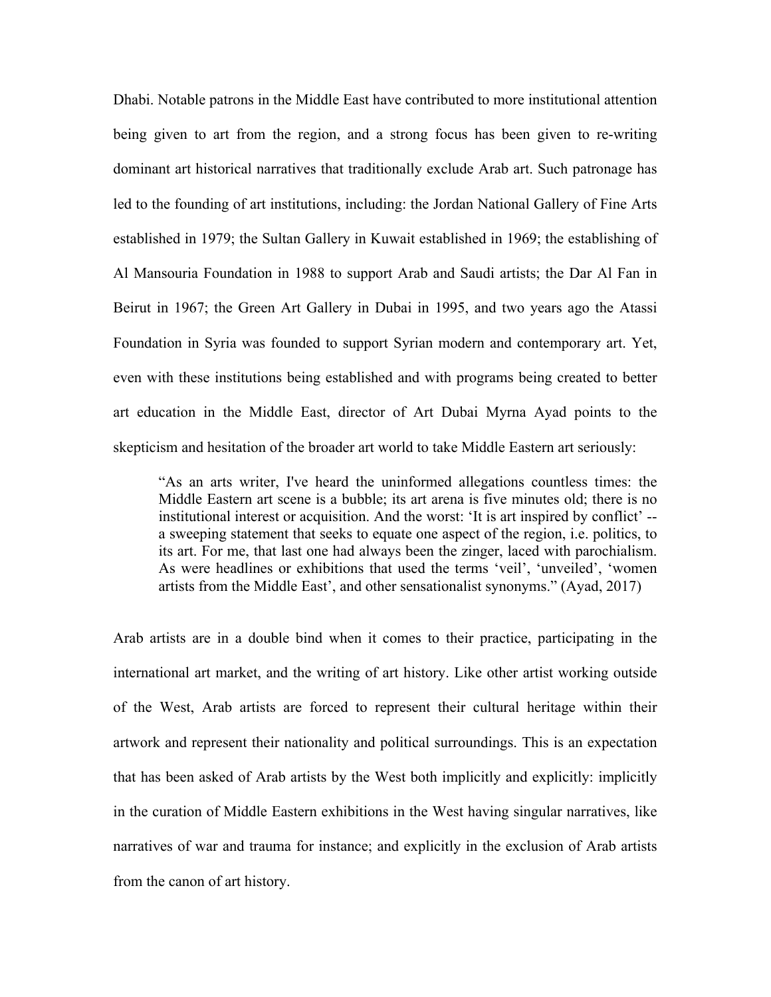Dhabi. Notable patrons in the Middle East have contributed to more institutional attention being given to art from the region, and a strong focus has been given to re-writing dominant art historical narratives that traditionally exclude Arab art. Such patronage has led to the founding of art institutions, including: the Jordan National Gallery of Fine Arts established in 1979; the Sultan Gallery in Kuwait established in 1969; the establishing of Al Mansouria Foundation in 1988 to support Arab and Saudi artists; the Dar Al Fan in Beirut in 1967; the Green Art Gallery in Dubai in 1995, and two years ago the Atassi Foundation in Syria was founded to support Syrian modern and contemporary art. Yet, even with these institutions being established and with programs being created to better art education in the Middle East, director of Art Dubai Myrna Ayad points to the skepticism and hesitation of the broader art world to take Middle Eastern art seriously:

"As an arts writer, I've heard the uninformed allegations countless times: the Middle Eastern art scene is a bubble; its art arena is five minutes old; there is no institutional interest or acquisition. And the worst: 'It is art inspired by conflict' - a sweeping statement that seeks to equate one aspect of the region, i.e. politics, to its art. For me, that last one had always been the zinger, laced with parochialism. As were headlines or exhibitions that used the terms 'veil', 'unveiled', 'women artists from the Middle East', and other sensationalist synonyms." (Ayad, 2017)

Arab artists are in a double bind when it comes to their practice, participating in the international art market, and the writing of art history. Like other artist working outside of the West, Arab artists are forced to represent their cultural heritage within their artwork and represent their nationality and political surroundings. This is an expectation that has been asked of Arab artists by the West both implicitly and explicitly: implicitly in the curation of Middle Eastern exhibitions in the West having singular narratives, like narratives of war and trauma for instance; and explicitly in the exclusion of Arab artists from the canon of art history.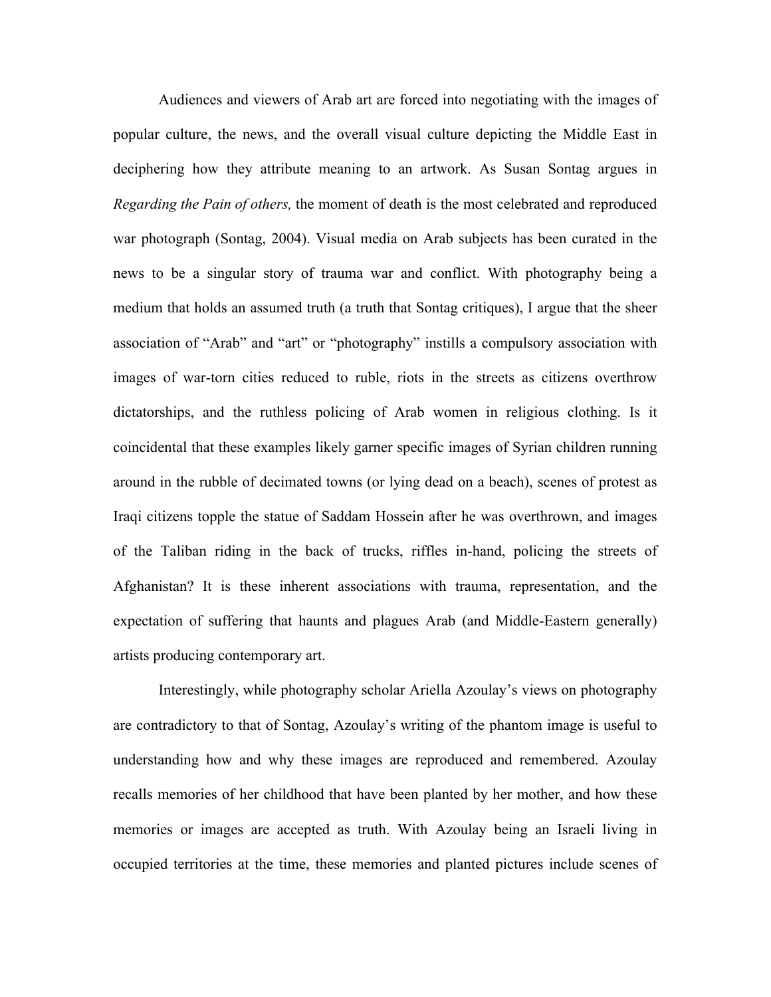Audiences and viewers of Arab art are forced into negotiating with the images of popular culture, the news, and the overall visual culture depicting the Middle East in deciphering how they attribute meaning to an artwork. As Susan Sontag argues in *Regarding the Pain of others,* the moment of death is the most celebrated and reproduced war photograph (Sontag, 2004). Visual media on Arab subjects has been curated in the news to be a singular story of trauma war and conflict. With photography being a medium that holds an assumed truth (a truth that Sontag critiques), I argue that the sheer association of "Arab" and "art" or "photography" instills a compulsory association with images of war-torn cities reduced to ruble, riots in the streets as citizens overthrow dictatorships, and the ruthless policing of Arab women in religious clothing. Is it coincidental that these examples likely garner specific images of Syrian children running around in the rubble of decimated towns (or lying dead on a beach), scenes of protest as Iraqi citizens topple the statue of Saddam Hossein after he was overthrown, and images of the Taliban riding in the back of trucks, riffles in-hand, policing the streets of Afghanistan? It is these inherent associations with trauma, representation, and the expectation of suffering that haunts and plagues Arab (and Middle-Eastern generally) artists producing contemporary art.

Interestingly, while photography scholar Ariella Azoulay's views on photography are contradictory to that of Sontag, Azoulay's writing of the phantom image is useful to understanding how and why these images are reproduced and remembered. Azoulay recalls memories of her childhood that have been planted by her mother, and how these memories or images are accepted as truth. With Azoulay being an Israeli living in occupied territories at the time, these memories and planted pictures include scenes of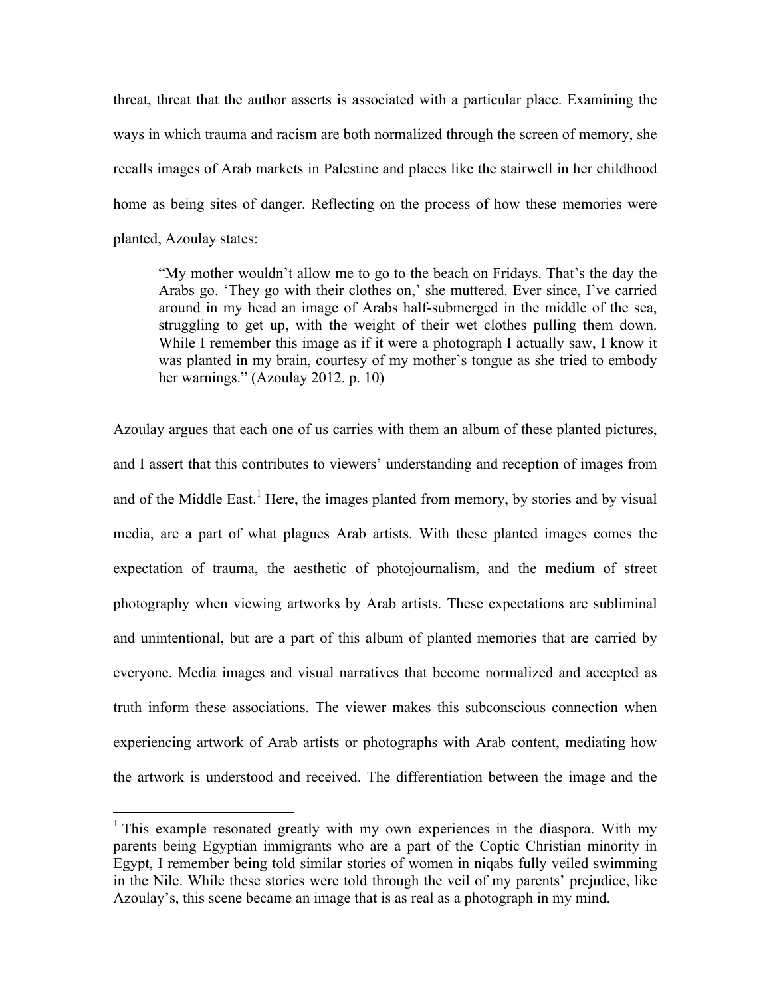threat, threat that the author asserts is associated with a particular place. Examining the ways in which trauma and racism are both normalized through the screen of memory, she recalls images of Arab markets in Palestine and places like the stairwell in her childhood home as being sites of danger. Reflecting on the process of how these memories were planted, Azoulay states:

"My mother wouldn't allow me to go to the beach on Fridays. That's the day the Arabs go. 'They go with their clothes on,' she muttered. Ever since, I've carried around in my head an image of Arabs half-submerged in the middle of the sea, struggling to get up, with the weight of their wet clothes pulling them down. While I remember this image as if it were a photograph I actually saw, I know it was planted in my brain, courtesy of my mother's tongue as she tried to embody her warnings." (Azoulay 2012. p. 10)

Azoulay argues that each one of us carries with them an album of these planted pictures, and I assert that this contributes to viewers' understanding and reception of images from and of the Middle East.<sup>1</sup> Here, the images planted from memory, by stories and by visual media, are a part of what plagues Arab artists. With these planted images comes the expectation of trauma, the aesthetic of photojournalism, and the medium of street photography when viewing artworks by Arab artists. These expectations are subliminal and unintentional, but are a part of this album of planted memories that are carried by everyone. Media images and visual narratives that become normalized and accepted as truth inform these associations. The viewer makes this subconscious connection when experiencing artwork of Arab artists or photographs with Arab content, mediating how the artwork is understood and received. The differentiation between the image and the

<sup>&</sup>lt;sup>1</sup> This example resonated greatly with my own experiences in the diaspora. With my parents being Egyptian immigrants who are a part of the Coptic Christian minority in Egypt, I remember being told similar stories of women in niqabs fully veiled swimming in the Nile. While these stories were told through the veil of my parents' prejudice, like Azoulay's, this scene became an image that is as real as a photograph in my mind.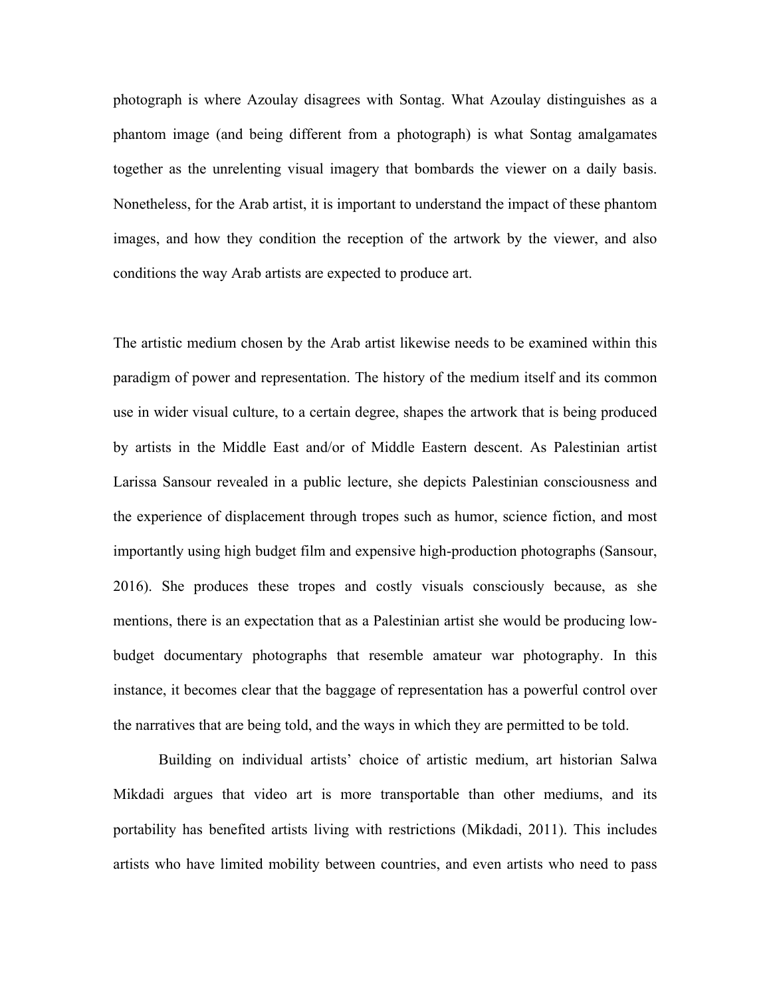photograph is where Azoulay disagrees with Sontag. What Azoulay distinguishes as a phantom image (and being different from a photograph) is what Sontag amalgamates together as the unrelenting visual imagery that bombards the viewer on a daily basis. Nonetheless, for the Arab artist, it is important to understand the impact of these phantom images, and how they condition the reception of the artwork by the viewer, and also conditions the way Arab artists are expected to produce art.

The artistic medium chosen by the Arab artist likewise needs to be examined within this paradigm of power and representation. The history of the medium itself and its common use in wider visual culture, to a certain degree, shapes the artwork that is being produced by artists in the Middle East and/or of Middle Eastern descent. As Palestinian artist Larissa Sansour revealed in a public lecture, she depicts Palestinian consciousness and the experience of displacement through tropes such as humor, science fiction, and most importantly using high budget film and expensive high-production photographs (Sansour, 2016). She produces these tropes and costly visuals consciously because, as she mentions, there is an expectation that as a Palestinian artist she would be producing lowbudget documentary photographs that resemble amateur war photography. In this instance, it becomes clear that the baggage of representation has a powerful control over the narratives that are being told, and the ways in which they are permitted to be told.

Building on individual artists' choice of artistic medium, art historian Salwa Mikdadi argues that video art is more transportable than other mediums, and its portability has benefited artists living with restrictions (Mikdadi, 2011). This includes artists who have limited mobility between countries, and even artists who need to pass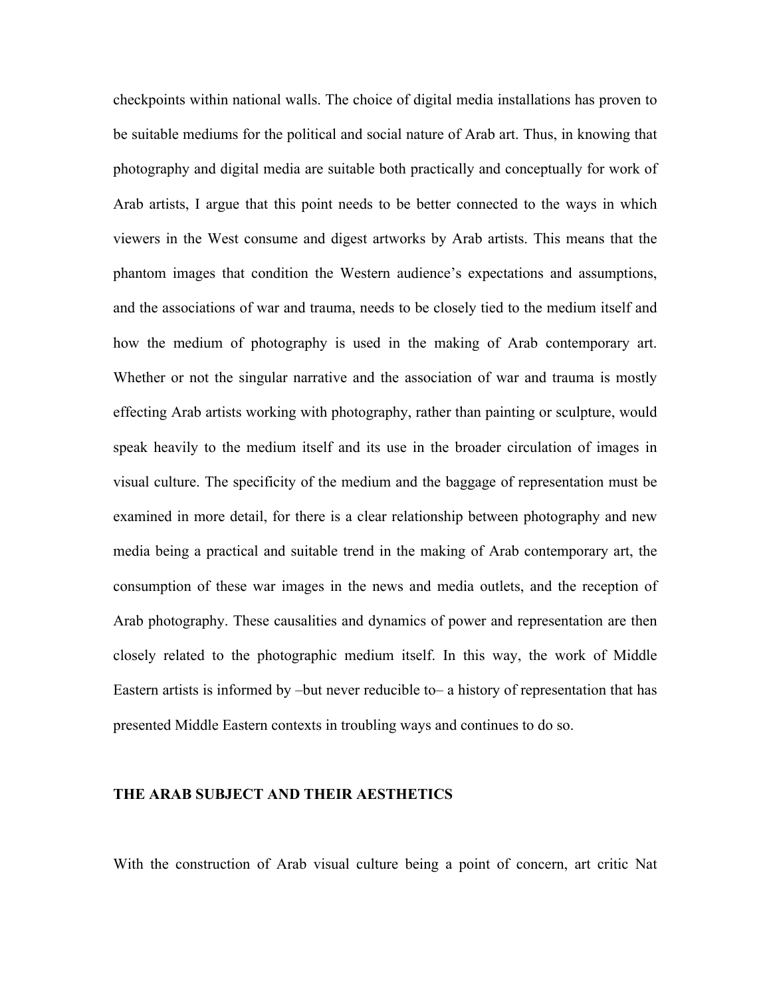checkpoints within national walls. The choice of digital media installations has proven to be suitable mediums for the political and social nature of Arab art. Thus, in knowing that photography and digital media are suitable both practically and conceptually for work of Arab artists, I argue that this point needs to be better connected to the ways in which viewers in the West consume and digest artworks by Arab artists. This means that the phantom images that condition the Western audience's expectations and assumptions, and the associations of war and trauma, needs to be closely tied to the medium itself and how the medium of photography is used in the making of Arab contemporary art. Whether or not the singular narrative and the association of war and trauma is mostly effecting Arab artists working with photography, rather than painting or sculpture, would speak heavily to the medium itself and its use in the broader circulation of images in visual culture. The specificity of the medium and the baggage of representation must be examined in more detail, for there is a clear relationship between photography and new media being a practical and suitable trend in the making of Arab contemporary art, the consumption of these war images in the news and media outlets, and the reception of Arab photography. These causalities and dynamics of power and representation are then closely related to the photographic medium itself. In this way, the work of Middle Eastern artists is informed by –but never reducible to– a history of representation that has presented Middle Eastern contexts in troubling ways and continues to do so.

### **THE ARAB SUBJECT AND THEIR AESTHETICS**

With the construction of Arab visual culture being a point of concern, art critic Nat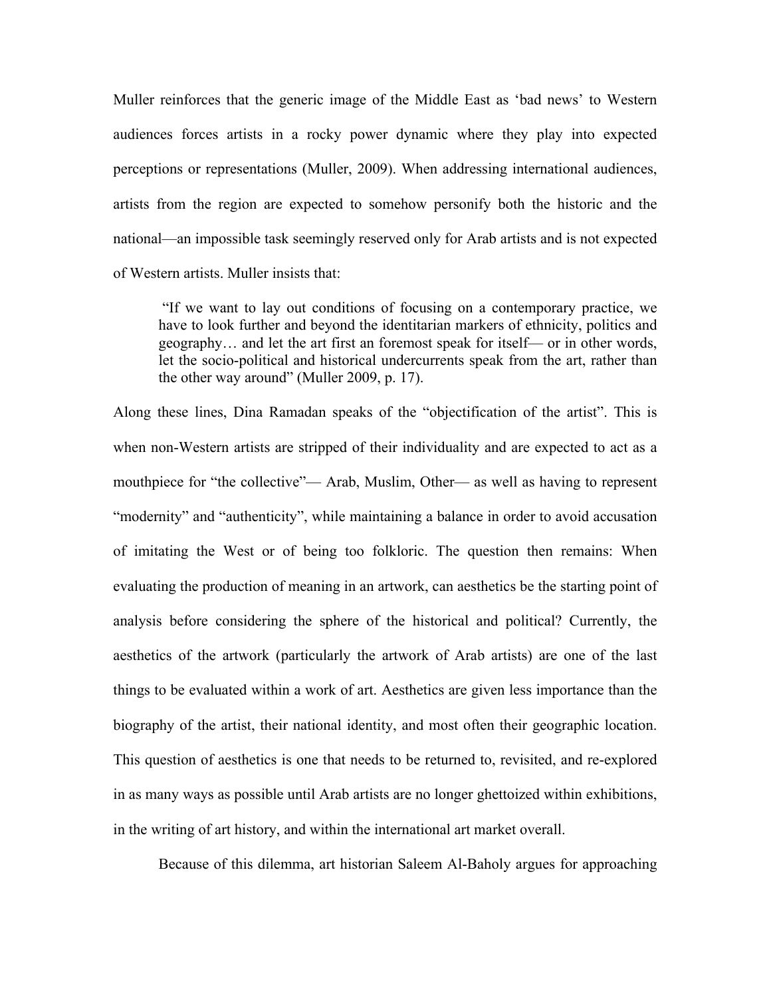Muller reinforces that the generic image of the Middle East as 'bad news' to Western audiences forces artists in a rocky power dynamic where they play into expected perceptions or representations (Muller, 2009). When addressing international audiences, artists from the region are expected to somehow personify both the historic and the national—an impossible task seemingly reserved only for Arab artists and is not expected of Western artists. Muller insists that:

"If we want to lay out conditions of focusing on a contemporary practice, we have to look further and beyond the identitarian markers of ethnicity, politics and geography… and let the art first an foremost speak for itself— or in other words, let the socio-political and historical undercurrents speak from the art, rather than the other way around" (Muller 2009, p. 17).

Along these lines, Dina Ramadan speaks of the "objectification of the artist". This is when non-Western artists are stripped of their individuality and are expected to act as a mouthpiece for "the collective"— Arab, Muslim, Other— as well as having to represent "modernity" and "authenticity", while maintaining a balance in order to avoid accusation of imitating the West or of being too folkloric. The question then remains: When evaluating the production of meaning in an artwork, can aesthetics be the starting point of analysis before considering the sphere of the historical and political? Currently, the aesthetics of the artwork (particularly the artwork of Arab artists) are one of the last things to be evaluated within a work of art. Aesthetics are given less importance than the biography of the artist, their national identity, and most often their geographic location. This question of aesthetics is one that needs to be returned to, revisited, and re-explored in as many ways as possible until Arab artists are no longer ghettoized within exhibitions, in the writing of art history, and within the international art market overall.

Because of this dilemma, art historian Saleem Al-Baholy argues for approaching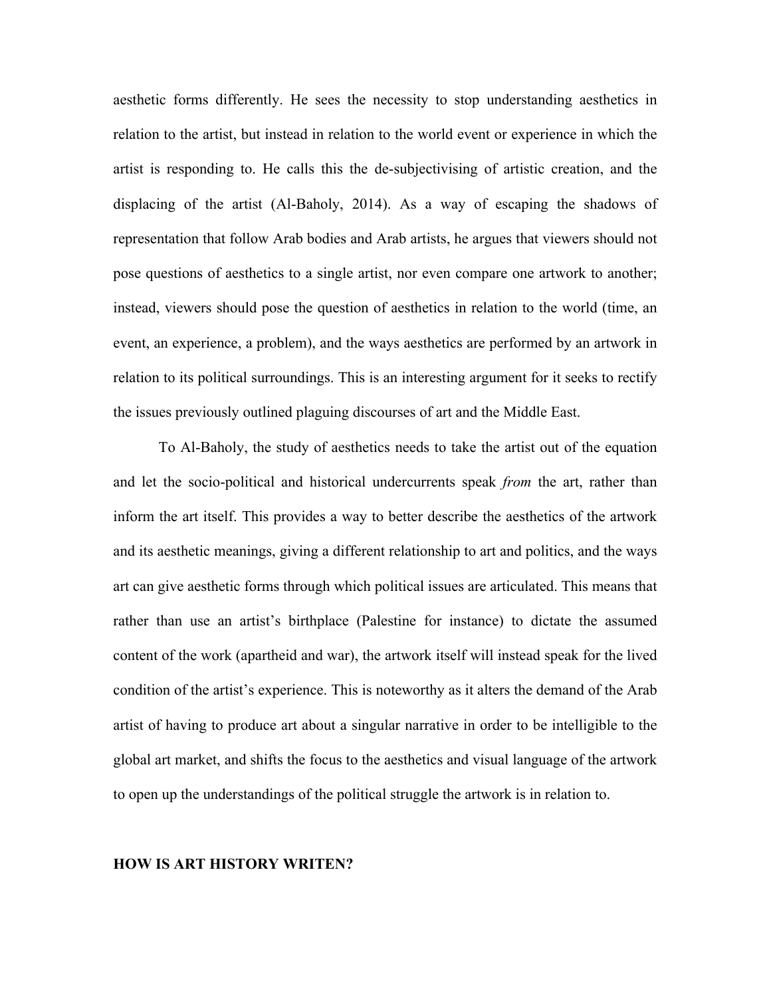aesthetic forms differently. He sees the necessity to stop understanding aesthetics in relation to the artist, but instead in relation to the world event or experience in which the artist is responding to. He calls this the de-subjectivising of artistic creation, and the displacing of the artist (Al-Baholy, 2014). As a way of escaping the shadows of representation that follow Arab bodies and Arab artists, he argues that viewers should not pose questions of aesthetics to a single artist, nor even compare one artwork to another; instead, viewers should pose the question of aesthetics in relation to the world (time, an event, an experience, a problem), and the ways aesthetics are performed by an artwork in relation to its political surroundings. This is an interesting argument for it seeks to rectify the issues previously outlined plaguing discourses of art and the Middle East.

To Al-Baholy, the study of aesthetics needs to take the artist out of the equation and let the socio-political and historical undercurrents speak *from* the art, rather than inform the art itself. This provides a way to better describe the aesthetics of the artwork and its aesthetic meanings, giving a different relationship to art and politics, and the ways art can give aesthetic forms through which political issues are articulated. This means that rather than use an artist's birthplace (Palestine for instance) to dictate the assumed content of the work (apartheid and war), the artwork itself will instead speak for the lived condition of the artist's experience. This is noteworthy as it alters the demand of the Arab artist of having to produce art about a singular narrative in order to be intelligible to the global art market, and shifts the focus to the aesthetics and visual language of the artwork to open up the understandings of the political struggle the artwork is in relation to.

## **HOW IS ART HISTORY WRITEN?**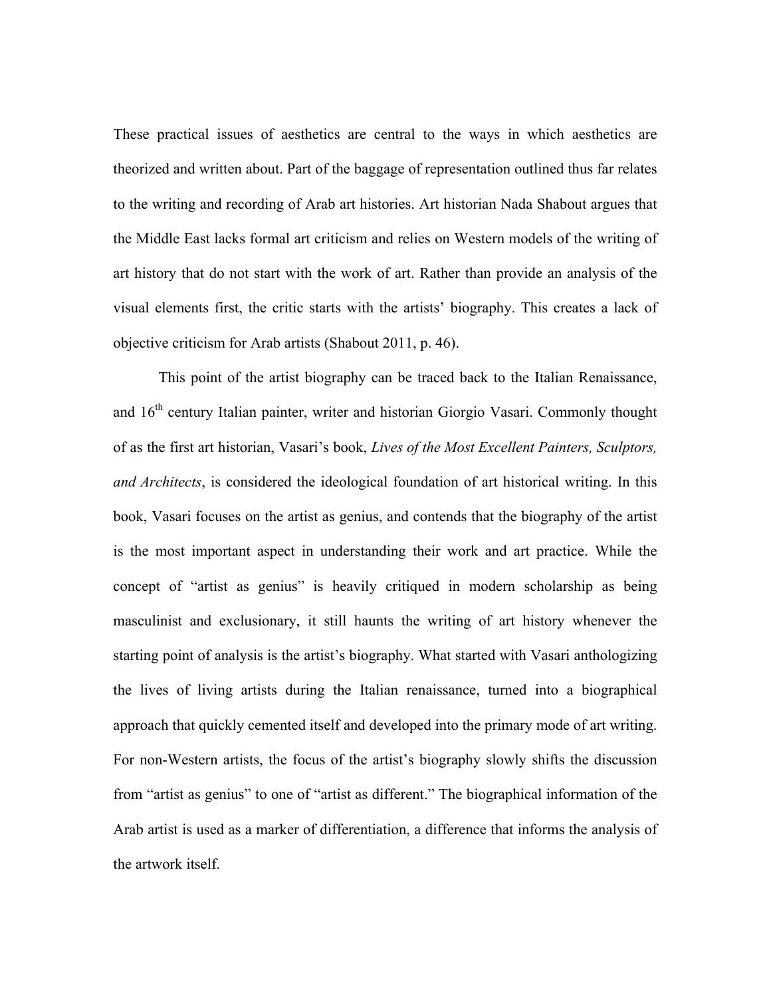These practical issues of aesthetics are central to the ways in which aesthetics are theorized and written about. Part of the baggage of representation outlined thus far relates to the writing and recording of Arab art histories. Art historian Nada Shabout argues that the Middle East lacks formal art criticism and relies on Western models of the writing of art history that do not start with the work of art. Rather than provide an analysis of the visual elements first, the critic starts with the artists' biography. This creates a lack of objective criticism for Arab artists (Shabout 2011, p. 46).

This point of the artist biography can be traced back to the Italian Renaissance, and 16<sup>th</sup> century Italian painter, writer and historian Giorgio Vasari. Commonly thought of as the first art historian, Vasari's book, *Lives of the Most Excellent Painters, Sculptors, and Architects*, is considered the ideological foundation of art historical writing. In this book, Vasari focuses on the artist as genius, and contends that the biography of the artist is the most important aspect in understanding their work and art practice. While the concept of "artist as genius" is heavily critiqued in modern scholarship as being masculinist and exclusionary, it still haunts the writing of art history whenever the starting point of analysis is the artist's biography. What started with Vasari anthologizing the lives of living artists during the Italian renaissance, turned into a biographical approach that quickly cemented itself and developed into the primary mode of art writing. For non-Western artists, the focus of the artist's biography slowly shifts the discussion from "artist as genius" to one of "artist as different." The biographical information of the Arab artist is used as a marker of differentiation, a difference that informs the analysis of the artwork itself.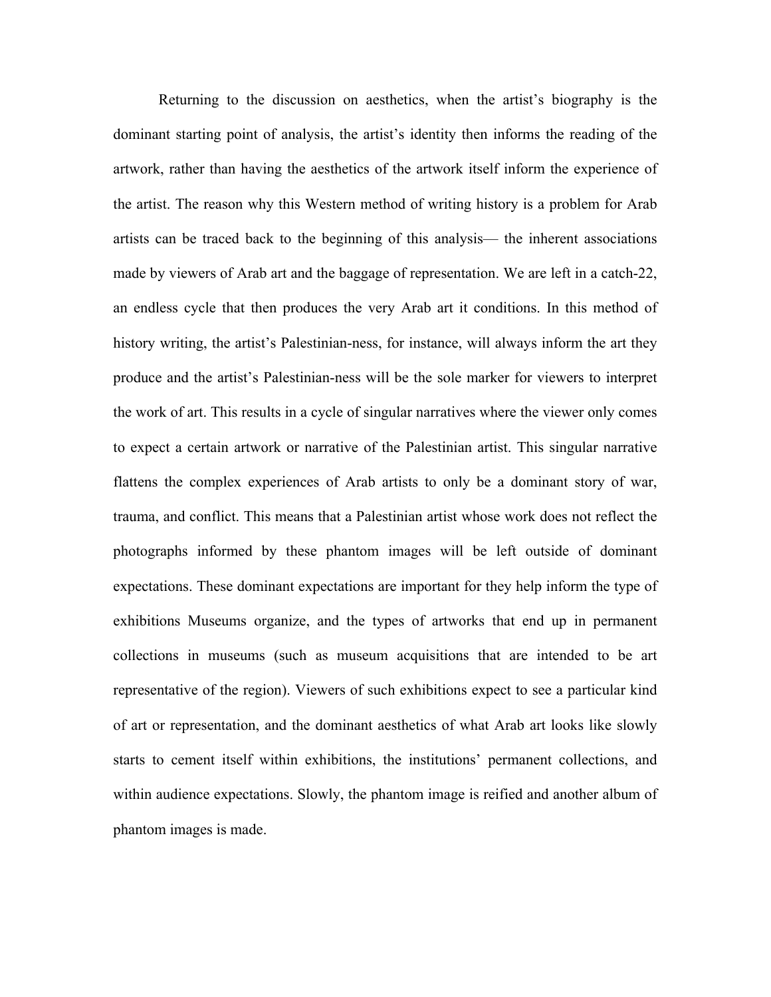Returning to the discussion on aesthetics, when the artist's biography is the dominant starting point of analysis, the artist's identity then informs the reading of the artwork, rather than having the aesthetics of the artwork itself inform the experience of the artist. The reason why this Western method of writing history is a problem for Arab artists can be traced back to the beginning of this analysis— the inherent associations made by viewers of Arab art and the baggage of representation. We are left in a catch-22, an endless cycle that then produces the very Arab art it conditions. In this method of history writing, the artist's Palestinian-ness, for instance, will always inform the art they produce and the artist's Palestinian-ness will be the sole marker for viewers to interpret the work of art. This results in a cycle of singular narratives where the viewer only comes to expect a certain artwork or narrative of the Palestinian artist. This singular narrative flattens the complex experiences of Arab artists to only be a dominant story of war, trauma, and conflict. This means that a Palestinian artist whose work does not reflect the photographs informed by these phantom images will be left outside of dominant expectations. These dominant expectations are important for they help inform the type of exhibitions Museums organize, and the types of artworks that end up in permanent collections in museums (such as museum acquisitions that are intended to be art representative of the region). Viewers of such exhibitions expect to see a particular kind of art or representation, and the dominant aesthetics of what Arab art looks like slowly starts to cement itself within exhibitions, the institutions' permanent collections, and within audience expectations. Slowly, the phantom image is reified and another album of phantom images is made.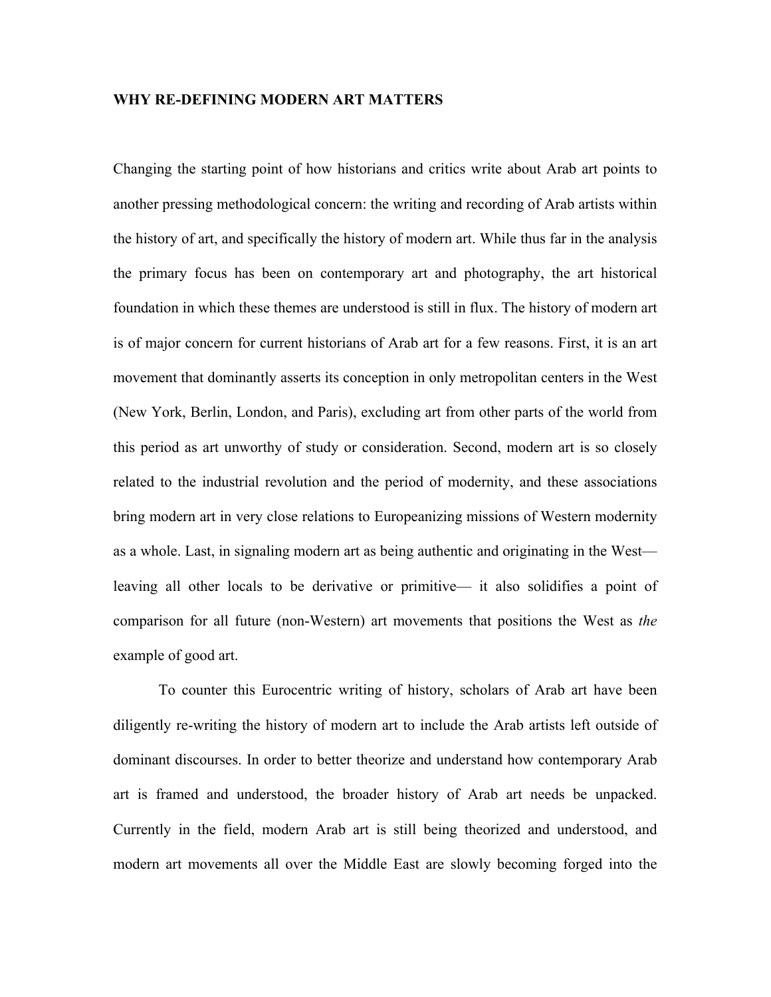## **WHY RE-DEFINING MODERN ART MATTERS**

Changing the starting point of how historians and critics write about Arab art points to another pressing methodological concern: the writing and recording of Arab artists within the history of art, and specifically the history of modern art. While thus far in the analysis the primary focus has been on contemporary art and photography, the art historical foundation in which these themes are understood is still in flux. The history of modern art is of major concern for current historians of Arab art for a few reasons. First, it is an art movement that dominantly asserts its conception in only metropolitan centers in the West (New York, Berlin, London, and Paris), excluding art from other parts of the world from this period as art unworthy of study or consideration. Second, modern art is so closely related to the industrial revolution and the period of modernity, and these associations bring modern art in very close relations to Europeanizing missions of Western modernity as a whole. Last, in signaling modern art as being authentic and originating in the West leaving all other locals to be derivative or primitive— it also solidifies a point of comparison for all future (non-Western) art movements that positions the West as *the* example of good art.

To counter this Eurocentric writing of history, scholars of Arab art have been diligently re-writing the history of modern art to include the Arab artists left outside of dominant discourses. In order to better theorize and understand how contemporary Arab art is framed and understood, the broader history of Arab art needs be unpacked. Currently in the field, modern Arab art is still being theorized and understood, and modern art movements all over the Middle East are slowly becoming forged into the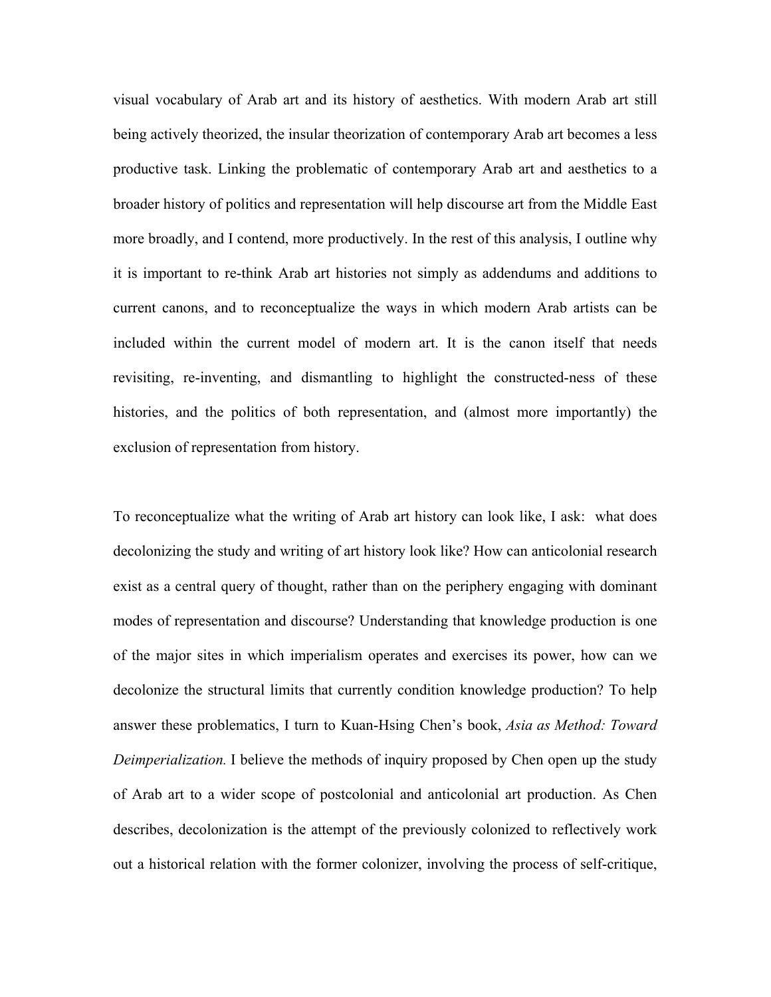visual vocabulary of Arab art and its history of aesthetics. With modern Arab art still being actively theorized, the insular theorization of contemporary Arab art becomes a less productive task. Linking the problematic of contemporary Arab art and aesthetics to a broader history of politics and representation will help discourse art from the Middle East more broadly, and I contend, more productively. In the rest of this analysis, I outline why it is important to re-think Arab art histories not simply as addendums and additions to current canons, and to reconceptualize the ways in which modern Arab artists can be included within the current model of modern art. It is the canon itself that needs revisiting, re-inventing, and dismantling to highlight the constructed-ness of these histories, and the politics of both representation, and (almost more importantly) the exclusion of representation from history.

To reconceptualize what the writing of Arab art history can look like, I ask: what does decolonizing the study and writing of art history look like? How can anticolonial research exist as a central query of thought, rather than on the periphery engaging with dominant modes of representation and discourse? Understanding that knowledge production is one of the major sites in which imperialism operates and exercises its power, how can we decolonize the structural limits that currently condition knowledge production? To help answer these problematics, I turn to Kuan-Hsing Chen's book, *Asia as Method: Toward Deimperialization.* I believe the methods of inquiry proposed by Chen open up the study of Arab art to a wider scope of postcolonial and anticolonial art production. As Chen describes, decolonization is the attempt of the previously colonized to reflectively work out a historical relation with the former colonizer, involving the process of self-critique,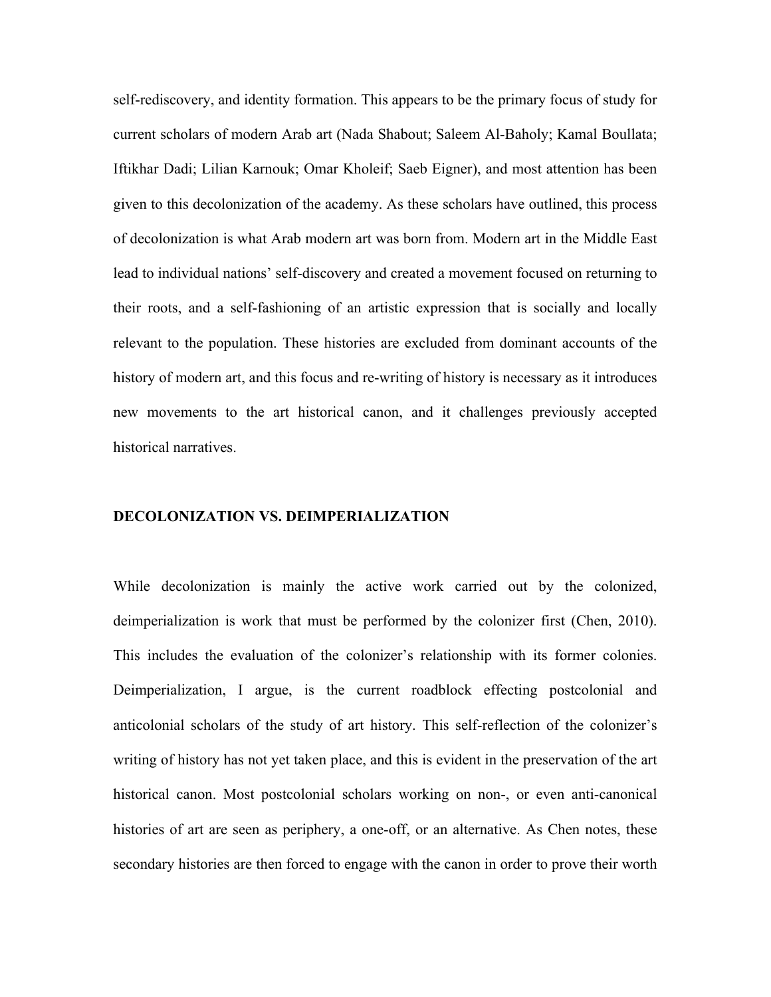self-rediscovery, and identity formation. This appears to be the primary focus of study for current scholars of modern Arab art (Nada Shabout; Saleem Al-Baholy; Kamal Boullata; Iftikhar Dadi; Lilian Karnouk; Omar Kholeif; Saeb Eigner), and most attention has been given to this decolonization of the academy. As these scholars have outlined, this process of decolonization is what Arab modern art was born from. Modern art in the Middle East lead to individual nations' self-discovery and created a movement focused on returning to their roots, and a self-fashioning of an artistic expression that is socially and locally relevant to the population. These histories are excluded from dominant accounts of the history of modern art, and this focus and re-writing of history is necessary as it introduces new movements to the art historical canon, and it challenges previously accepted historical narratives.

## **DECOLONIZATION VS. DEIMPERIALIZATION**

While decolonization is mainly the active work carried out by the colonized, deimperialization is work that must be performed by the colonizer first (Chen, 2010). This includes the evaluation of the colonizer's relationship with its former colonies. Deimperialization, I argue, is the current roadblock effecting postcolonial and anticolonial scholars of the study of art history. This self-reflection of the colonizer's writing of history has not yet taken place, and this is evident in the preservation of the art historical canon. Most postcolonial scholars working on non-, or even anti-canonical histories of art are seen as periphery, a one-off, or an alternative. As Chen notes, these secondary histories are then forced to engage with the canon in order to prove their worth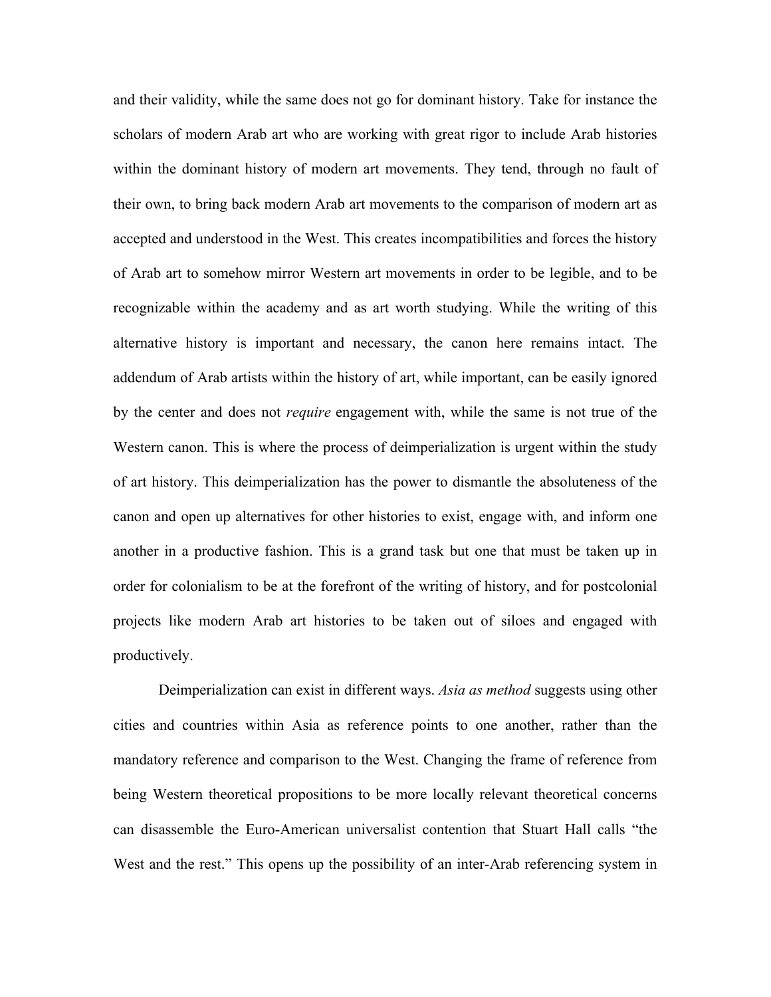and their validity, while the same does not go for dominant history. Take for instance the scholars of modern Arab art who are working with great rigor to include Arab histories within the dominant history of modern art movements. They tend, through no fault of their own, to bring back modern Arab art movements to the comparison of modern art as accepted and understood in the West. This creates incompatibilities and forces the history of Arab art to somehow mirror Western art movements in order to be legible, and to be recognizable within the academy and as art worth studying. While the writing of this alternative history is important and necessary, the canon here remains intact. The addendum of Arab artists within the history of art, while important, can be easily ignored by the center and does not *require* engagement with, while the same is not true of the Western canon. This is where the process of deimperialization is urgent within the study of art history. This deimperialization has the power to dismantle the absoluteness of the canon and open up alternatives for other histories to exist, engage with, and inform one another in a productive fashion. This is a grand task but one that must be taken up in order for colonialism to be at the forefront of the writing of history, and for postcolonial projects like modern Arab art histories to be taken out of siloes and engaged with productively.

Deimperialization can exist in different ways. *Asia as method* suggests using other cities and countries within Asia as reference points to one another, rather than the mandatory reference and comparison to the West. Changing the frame of reference from being Western theoretical propositions to be more locally relevant theoretical concerns can disassemble the Euro-American universalist contention that Stuart Hall calls "the West and the rest." This opens up the possibility of an inter-Arab referencing system in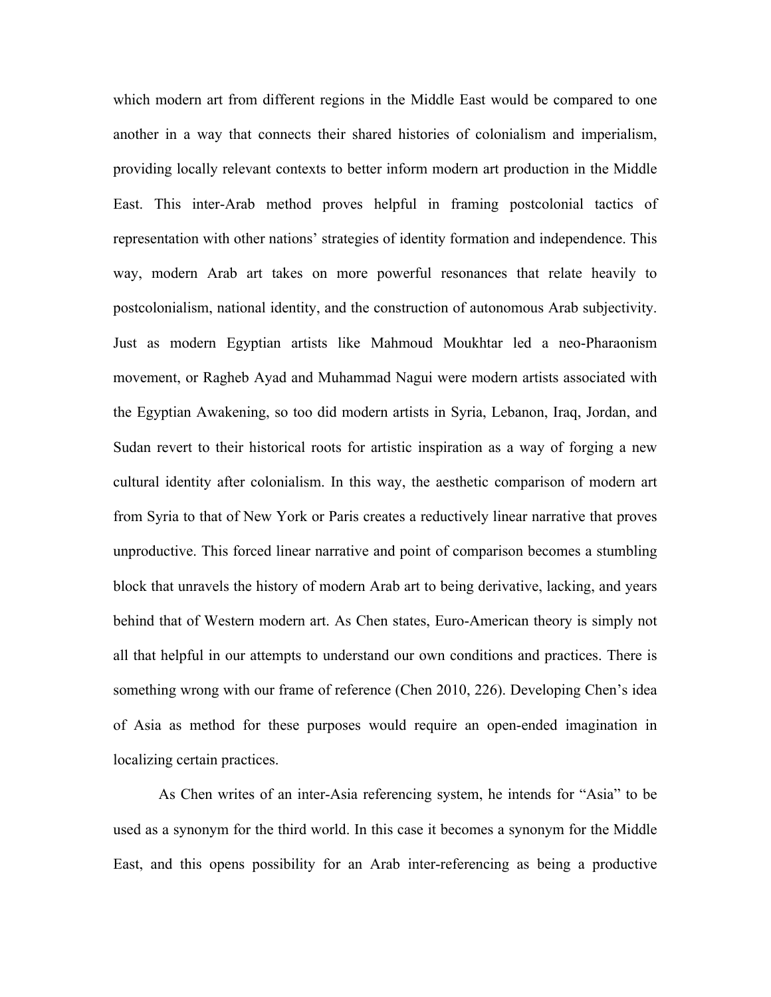which modern art from different regions in the Middle East would be compared to one another in a way that connects their shared histories of colonialism and imperialism, providing locally relevant contexts to better inform modern art production in the Middle East. This inter-Arab method proves helpful in framing postcolonial tactics of representation with other nations' strategies of identity formation and independence. This way, modern Arab art takes on more powerful resonances that relate heavily to postcolonialism, national identity, and the construction of autonomous Arab subjectivity. Just as modern Egyptian artists like Mahmoud Moukhtar led a neo-Pharaonism movement, or Ragheb Ayad and Muhammad Nagui were modern artists associated with the Egyptian Awakening, so too did modern artists in Syria, Lebanon, Iraq, Jordan, and Sudan revert to their historical roots for artistic inspiration as a way of forging a new cultural identity after colonialism. In this way, the aesthetic comparison of modern art from Syria to that of New York or Paris creates a reductively linear narrative that proves unproductive. This forced linear narrative and point of comparison becomes a stumbling block that unravels the history of modern Arab art to being derivative, lacking, and years behind that of Western modern art. As Chen states, Euro-American theory is simply not all that helpful in our attempts to understand our own conditions and practices. There is something wrong with our frame of reference (Chen 2010, 226). Developing Chen's idea of Asia as method for these purposes would require an open-ended imagination in localizing certain practices.

As Chen writes of an inter-Asia referencing system, he intends for "Asia" to be used as a synonym for the third world. In this case it becomes a synonym for the Middle East, and this opens possibility for an Arab inter-referencing as being a productive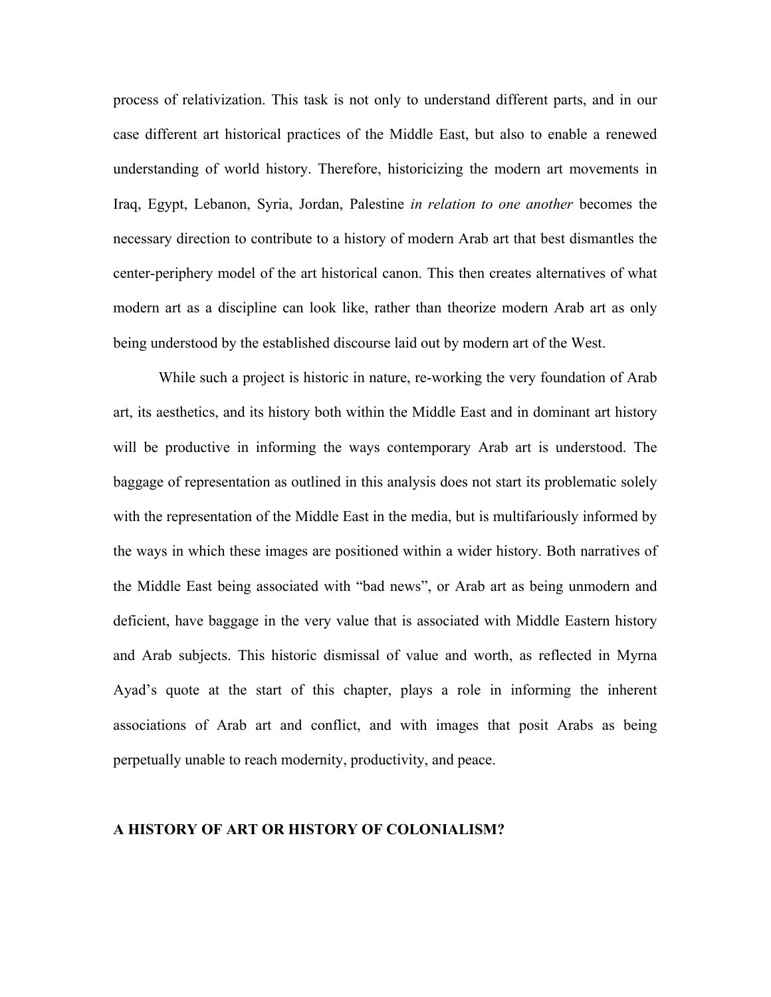process of relativization. This task is not only to understand different parts, and in our case different art historical practices of the Middle East, but also to enable a renewed understanding of world history. Therefore, historicizing the modern art movements in Iraq, Egypt, Lebanon, Syria, Jordan, Palestine *in relation to one another* becomes the necessary direction to contribute to a history of modern Arab art that best dismantles the center-periphery model of the art historical canon. This then creates alternatives of what modern art as a discipline can look like, rather than theorize modern Arab art as only being understood by the established discourse laid out by modern art of the West.

While such a project is historic in nature, re-working the very foundation of Arab art, its aesthetics, and its history both within the Middle East and in dominant art history will be productive in informing the ways contemporary Arab art is understood. The baggage of representation as outlined in this analysis does not start its problematic solely with the representation of the Middle East in the media, but is multifariously informed by the ways in which these images are positioned within a wider history. Both narratives of the Middle East being associated with "bad news", or Arab art as being unmodern and deficient, have baggage in the very value that is associated with Middle Eastern history and Arab subjects. This historic dismissal of value and worth, as reflected in Myrna Ayad's quote at the start of this chapter, plays a role in informing the inherent associations of Arab art and conflict, and with images that posit Arabs as being perpetually unable to reach modernity, productivity, and peace.

## **A HISTORY OF ART OR HISTORY OF COLONIALISM?**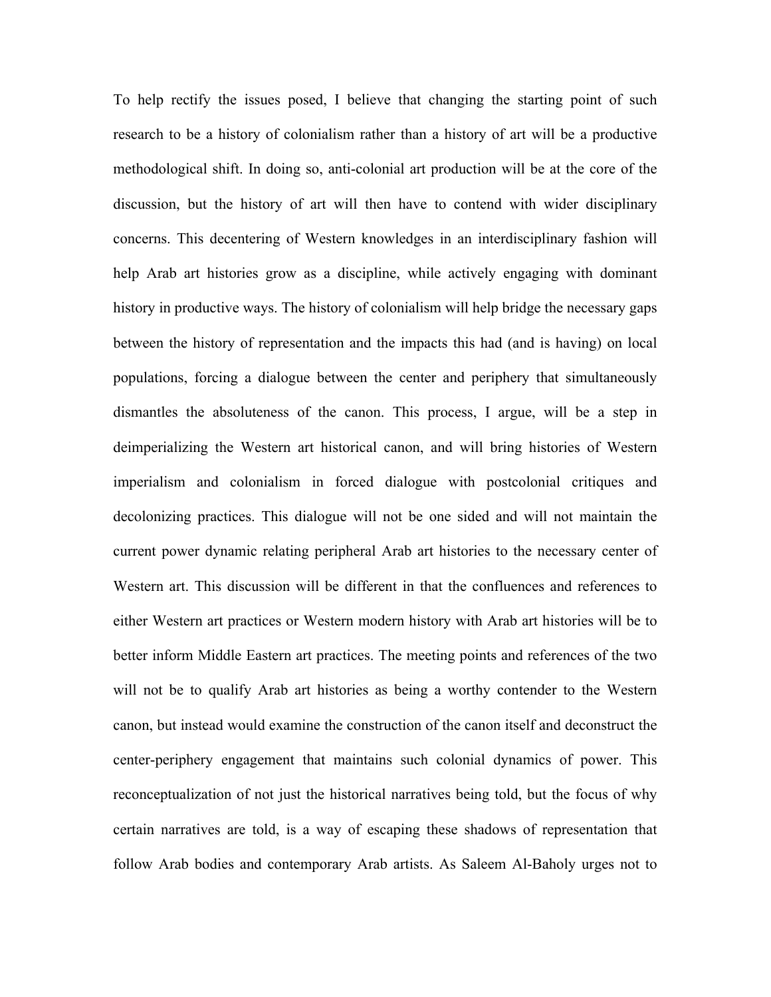To help rectify the issues posed, I believe that changing the starting point of such research to be a history of colonialism rather than a history of art will be a productive methodological shift. In doing so, anti-colonial art production will be at the core of the discussion, but the history of art will then have to contend with wider disciplinary concerns. This decentering of Western knowledges in an interdisciplinary fashion will help Arab art histories grow as a discipline, while actively engaging with dominant history in productive ways. The history of colonialism will help bridge the necessary gaps between the history of representation and the impacts this had (and is having) on local populations, forcing a dialogue between the center and periphery that simultaneously dismantles the absoluteness of the canon. This process, I argue, will be a step in deimperializing the Western art historical canon, and will bring histories of Western imperialism and colonialism in forced dialogue with postcolonial critiques and decolonizing practices. This dialogue will not be one sided and will not maintain the current power dynamic relating peripheral Arab art histories to the necessary center of Western art. This discussion will be different in that the confluences and references to either Western art practices or Western modern history with Arab art histories will be to better inform Middle Eastern art practices. The meeting points and references of the two will not be to qualify Arab art histories as being a worthy contender to the Western canon, but instead would examine the construction of the canon itself and deconstruct the center-periphery engagement that maintains such colonial dynamics of power. This reconceptualization of not just the historical narratives being told, but the focus of why certain narratives are told, is a way of escaping these shadows of representation that follow Arab bodies and contemporary Arab artists. As Saleem Al-Baholy urges not to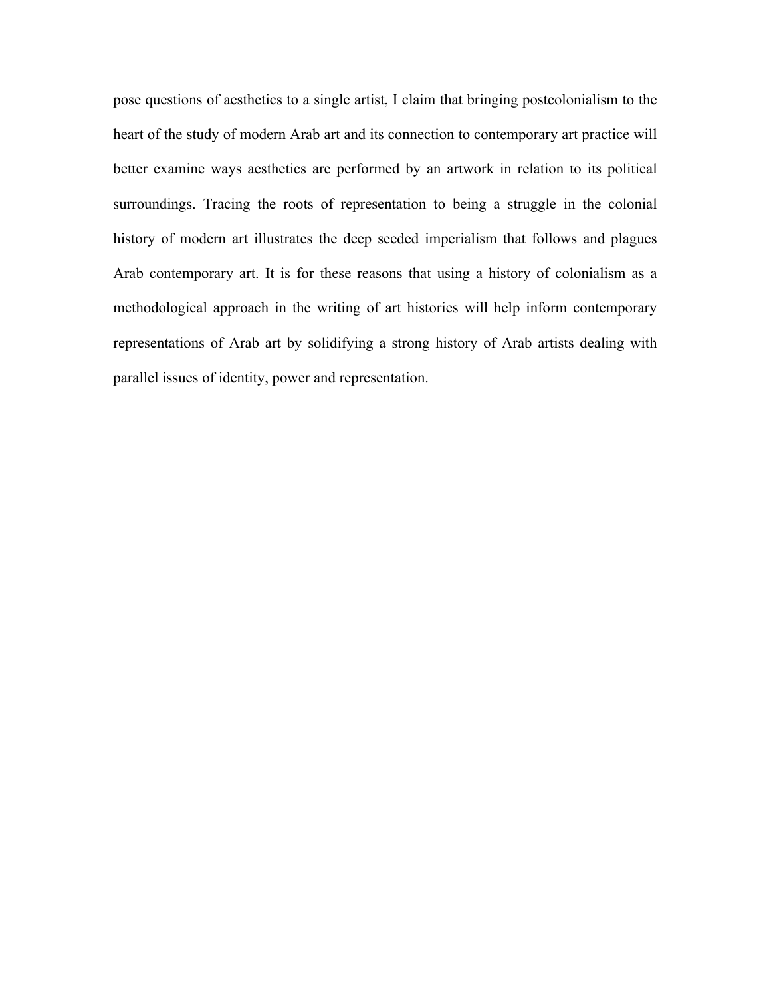pose questions of aesthetics to a single artist, I claim that bringing postcolonialism to the heart of the study of modern Arab art and its connection to contemporary art practice will better examine ways aesthetics are performed by an artwork in relation to its political surroundings. Tracing the roots of representation to being a struggle in the colonial history of modern art illustrates the deep seeded imperialism that follows and plagues Arab contemporary art. It is for these reasons that using a history of colonialism as a methodological approach in the writing of art histories will help inform contemporary representations of Arab art by solidifying a strong history of Arab artists dealing with parallel issues of identity, power and representation.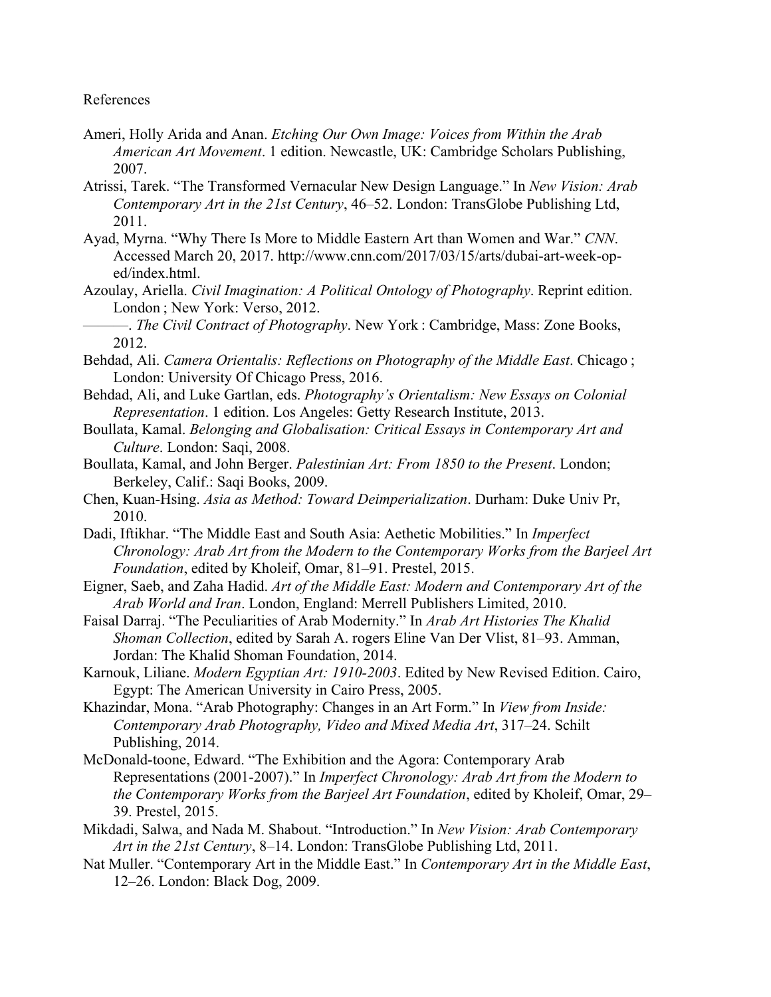# References

- Ameri, Holly Arida and Anan. *Etching Our Own Image: Voices from Within the Arab American Art Movement*. 1 edition. Newcastle, UK: Cambridge Scholars Publishing, 2007.
- Atrissi, Tarek. "The Transformed Vernacular New Design Language." In *New Vision: Arab Contemporary Art in the 21st Century*, 46–52. London: TransGlobe Publishing Ltd, 2011.
- Ayad, Myrna. "Why There Is More to Middle Eastern Art than Women and War." *CNN*. Accessed March 20, 2017. http://www.cnn.com/2017/03/15/arts/dubai-art-week-oped/index.html.
- Azoulay, Ariella. *Civil Imagination: A Political Ontology of Photography*. Reprint edition. London ; New York: Verso, 2012.
	- ———. *The Civil Contract of Photography*. New York : Cambridge, Mass: Zone Books, 2012.
- Behdad, Ali. *Camera Orientalis: Reflections on Photography of the Middle East*. Chicago ; London: University Of Chicago Press, 2016.
- Behdad, Ali, and Luke Gartlan, eds. *Photography's Orientalism: New Essays on Colonial Representation*. 1 edition. Los Angeles: Getty Research Institute, 2013.
- Boullata, Kamal. *Belonging and Globalisation: Critical Essays in Contemporary Art and Culture*. London: Saqi, 2008.
- Boullata, Kamal, and John Berger. *Palestinian Art: From 1850 to the Present*. London; Berkeley, Calif.: Saqi Books, 2009.
- Chen, Kuan-Hsing. *Asia as Method: Toward Deimperialization*. Durham: Duke Univ Pr, 2010.
- Dadi, Iftikhar. "The Middle East and South Asia: Aethetic Mobilities." In *Imperfect Chronology: Arab Art from the Modern to the Contemporary Works from the Barjeel Art Foundation*, edited by Kholeif, Omar, 81–91. Prestel, 2015.
- Eigner, Saeb, and Zaha Hadid. *Art of the Middle East: Modern and Contemporary Art of the Arab World and Iran*. London, England: Merrell Publishers Limited, 2010.
- Faisal Darraj. "The Peculiarities of Arab Modernity." In *Arab Art Histories The Khalid Shoman Collection*, edited by Sarah A. rogers Eline Van Der Vlist, 81–93. Amman, Jordan: The Khalid Shoman Foundation, 2014.
- Karnouk, Liliane. *Modern Egyptian Art: 1910-2003*. Edited by New Revised Edition. Cairo, Egypt: The American University in Cairo Press, 2005.
- Khazindar, Mona. "Arab Photography: Changes in an Art Form." In *View from Inside: Contemporary Arab Photography, Video and Mixed Media Art*, 317–24. Schilt Publishing, 2014.
- McDonald-toone, Edward. "The Exhibition and the Agora: Contemporary Arab Representations (2001-2007)." In *Imperfect Chronology: Arab Art from the Modern to the Contemporary Works from the Barjeel Art Foundation*, edited by Kholeif, Omar, 29– 39. Prestel, 2015.
- Mikdadi, Salwa, and Nada M. Shabout. "Introduction." In *New Vision: Arab Contemporary Art in the 21st Century*, 8–14. London: TransGlobe Publishing Ltd, 2011.
- Nat Muller. "Contemporary Art in the Middle East." In *Contemporary Art in the Middle East*, 12–26. London: Black Dog, 2009.